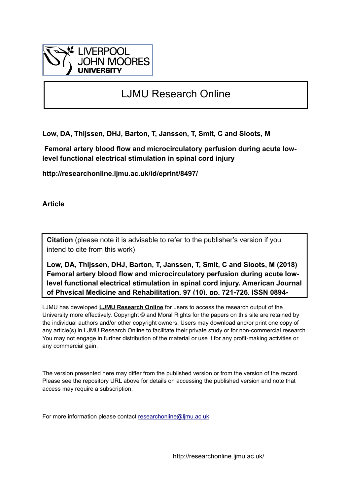

# LJMU Research Online

**Low, DA, Thijssen, DHJ, Barton, T, Janssen, T, Smit, C and Sloots, M**

 **Femoral artery blood flow and microcirculatory perfusion during acute lowlevel functional electrical stimulation in spinal cord injury**

**http://researchonline.ljmu.ac.uk/id/eprint/8497/**

**Article**

**Citation** (please note it is advisable to refer to the publisher's version if you intend to cite from this work)

**Low, DA, Thijssen, DHJ, Barton, T, Janssen, T, Smit, C and Sloots, M (2018) Femoral artery blood flow and microcirculatory perfusion during acute lowlevel functional electrical stimulation in spinal cord injury. American Journal of Physical Medicine and Rehabilitation, 97 (10). pp. 721-726. ISSN 0894-**

LJMU has developed **[LJMU Research Online](http://researchonline.ljmu.ac.uk/)** for users to access the research output of the University more effectively. Copyright © and Moral Rights for the papers on this site are retained by the individual authors and/or other copyright owners. Users may download and/or print one copy of any article(s) in LJMU Research Online to facilitate their private study or for non-commercial research. You may not engage in further distribution of the material or use it for any profit-making activities or any commercial gain.

The version presented here may differ from the published version or from the version of the record. Please see the repository URL above for details on accessing the published version and note that access may require a subscription.

For more information please contact [researchonline@ljmu.ac.uk](mailto:researchonline@ljmu.ac.uk)

http://researchonline.ljmu.ac.uk/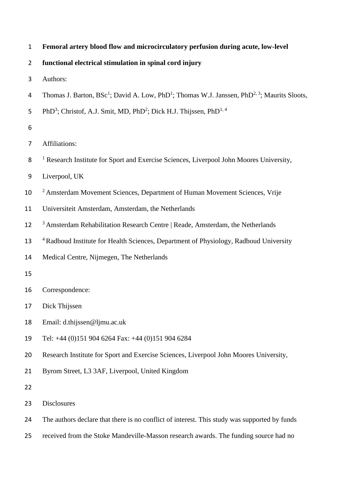|  |  |  |  |  | Femoral artery blood flow and microcirculatory perfusion during acute, low-level |
|--|--|--|--|--|----------------------------------------------------------------------------------|
|--|--|--|--|--|----------------------------------------------------------------------------------|

**functional electrical stimulation in spinal cord injury**

- Authors:
- 4 Thomas J. Barton,  $BSc^1$ ; David A. Low, PhD<sup>1</sup>; Thomas W.J. Janssen, PhD<sup>2, 3</sup>; Maurits Sloots,
- 5 PhD<sup>3</sup>; Christof, A.J. Smit, MD, PhD<sup>2</sup>; Dick H.J. Thijssen, PhD<sup>1, 4</sup>
- 
- Affiliations:
- <sup>1</sup> Research Institute for Sport and Exercise Sciences, Liverpool John Moores University,
- Liverpool, UK
- <sup>2</sup> Amsterdam Movement Sciences, Department of Human Movement Sciences, Vrije
- Universiteit Amsterdam, Amsterdam, the Netherlands
- <sup>3</sup> Amsterdam Rehabilitation Research Centre | Reade, Amsterdam, the Netherlands
- 13 <sup>4</sup> Radboud Institute for Health Sciences, Department of Physiology, Radboud University
- Medical Centre, Nijmegen, The Netherlands
- 
- Correspondence:
- Dick Thijssen
- Email: d.thijssen@ljmu.ac.uk
- Tel: +44 (0)151 904 6264 Fax: +44 (0)151 904 6284
- Research Institute for Sport and Exercise Sciences, Liverpool John Moores University,
- Byrom Street, L3 3AF, Liverpool, United Kingdom
- 
- Disclosures
- The authors declare that there is no conflict of interest. This study was supported by funds
- received from the Stoke Mandeville-Masson research awards. The funding source had no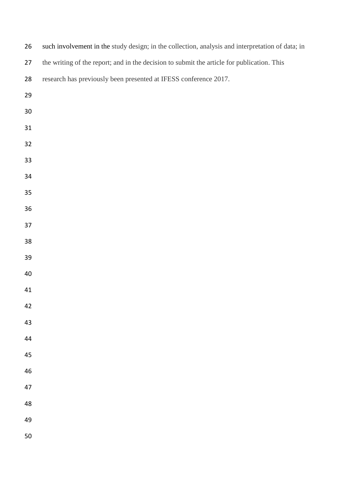| 26 | such involvement in the study design; in the collection, analysis and interpretation of data; in |
|----|--------------------------------------------------------------------------------------------------|
| 27 | the writing of the report; and in the decision to submit the article for publication. This       |
| 28 | research has previously been presented at IFESS conference 2017.                                 |
| 29 |                                                                                                  |
| 30 |                                                                                                  |
| 31 |                                                                                                  |
| 32 |                                                                                                  |
| 33 |                                                                                                  |
| 34 |                                                                                                  |
| 35 |                                                                                                  |
| 36 |                                                                                                  |
| 37 |                                                                                                  |
| 38 |                                                                                                  |
| 39 |                                                                                                  |
| 40 |                                                                                                  |
| 41 |                                                                                                  |
| 42 |                                                                                                  |
| 43 |                                                                                                  |
| 44 |                                                                                                  |
| 45 |                                                                                                  |
| 46 |                                                                                                  |
| 47 |                                                                                                  |
| 48 |                                                                                                  |
| 49 |                                                                                                  |
| 50 |                                                                                                  |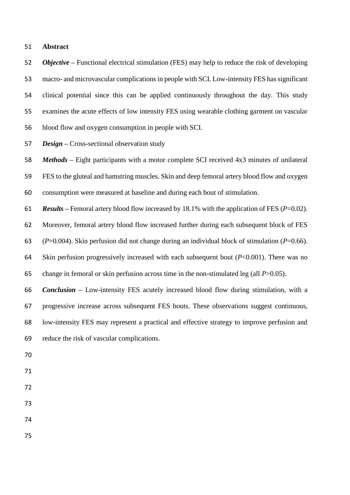## **Abstract**

 *Objective –* Functional electrical stimulation (FES) may help to reduce the risk of developing macro- and microvascular complications in people with SCI. Low-intensity FES has significant clinical potential since this can be applied continuously throughout the day. This study examines the acute effects of low intensity FES using wearable clothing garment on vascular blood flow and oxygen consumption in people with SCI.

*Design –* Cross-sectional observation study

 *Methods –* Eight participants with a motor complete SCI received 4x3 minutes of unilateral FES to the gluteal and hamstring muscles. Skin and deep femoral artery blood flow and oxygen consumption were measured at baseline and during each bout of stimulation.

*Results –* Femoral artery blood flow increased by 18.1% with the application of FES (*P*=0.02).

Moreover, femoral artery blood flow increased further during each subsequent block of FES

(*P*=0.004). Skin perfusion did not change during an individual block of stimulation (*P*=0.66).

 Skin perfusion progressively increased with each subsequent bout (*P*<0.001). There was no change in femoral or skin perfusion across time in the non-stimulated leg (all *P*>0.05).

 *Conclusion –* Low-intensity FES acutely increased blood flow during stimulation, with a progressive increase across subsequent FES bouts. These observations suggest continuous, low-intensity FES may represent a practical and effective strategy to improve perfusion and reduce the risk of vascular complications.

- 
- 
- 
- 
-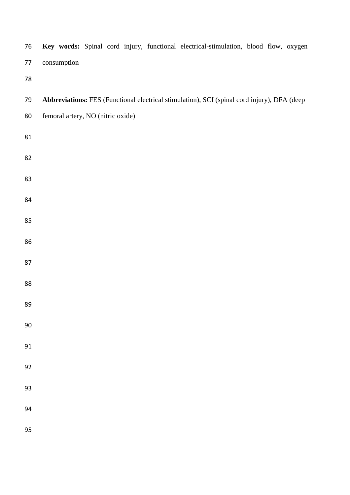| 76         | Key words: Spinal cord injury, functional electrical-stimulation, blood flow, oxygen        |
|------------|---------------------------------------------------------------------------------------------|
| 77         | consumption                                                                                 |
| ${\bf 78}$ |                                                                                             |
| 79         | Abbreviations: FES (Functional electrical stimulation), SCI (spinal cord injury), DFA (deep |
| 80         | femoral artery, NO (nitric oxide)                                                           |
| $81\,$     |                                                                                             |
| 82         |                                                                                             |
| 83         |                                                                                             |
| 84         |                                                                                             |
| 85         |                                                                                             |
| 86         |                                                                                             |
| 87         |                                                                                             |
| 88         |                                                                                             |
| 89         |                                                                                             |
| $90\,$     |                                                                                             |
| 91         |                                                                                             |
| 92         |                                                                                             |
| 93         |                                                                                             |
| 94         |                                                                                             |
| 95         |                                                                                             |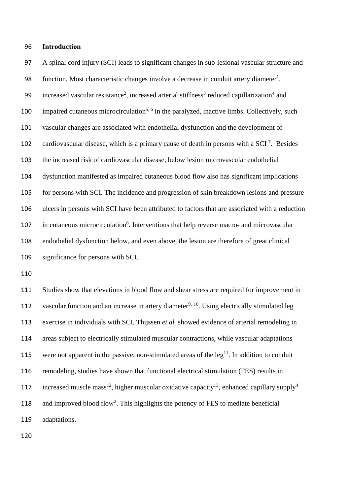## **Introduction**

 A spinal cord injury (SCI) leads to significant changes in sub-lesional vascular structure and 98 function. Most characteristic changes involve a decrease in conduit artery diameter<sup>1</sup>, 99 increased vascular resistance<sup>2</sup>, increased arterial stiffness<sup>3</sup> reduced capillarization<sup>4</sup> and 100 impaired cutaneous microcirculation<sup>5, 6</sup> in the paralyzed, inactive limbs. Collectively, such vascular changes are associated with endothelial dysfunction and the development of 102 cardiovascular disease, which is a primary cause of death in persons with a SCI<sup>7</sup>. Besides the increased risk of cardiovascular disease, below lesion microvascular endothelial dysfunction manifested as impaired cutaneous blood flow also has significant implications for persons with SCI. The incidence and progression of skin breakdown lesions and pressure ulcers in persons with SCI have been attributed to factors that are associated with a reduction 107 in cutaneous microcirculation<sup>8</sup>. Interventions that help reverse macro- and microvascular endothelial dysfunction below, and even above, the lesion are therefore of great clinical significance for persons with SCI.

 Studies show that elevations in blood flow and shear stress are required for improvement in 112 vascular function and an increase in artery diameter<sup>9, 10</sup>. Using electrically stimulated leg exercise in individuals with SCI, Thijssen *et al.* showed evidence of arterial remodeling in areas subject to electrically stimulated muscular contractions, while vascular adaptations 115 were not apparent in the passive, non-stimulated areas of the  $leg<sup>11</sup>$ . In addition to conduit remodeling, studies have shown that functional electrical stimulation (FES) results in 117 increased muscle mass<sup>12</sup>, higher muscular oxidative capacity<sup>13</sup>, enhanced capillary supply<sup>4</sup> 118 and improved blood flow<sup>2</sup>. This highlights the potency of FES to mediate beneficial adaptations.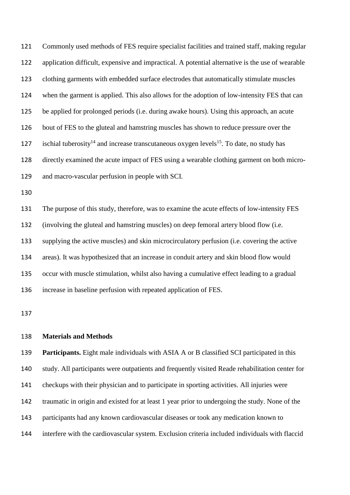Commonly used methods of FES require specialist facilities and trained staff, making regular application difficult, expensive and impractical. A potential alternative is the use of wearable clothing garments with embedded surface electrodes that automatically stimulate muscles when the garment is applied. This also allows for the adoption of low-intensity FES that can be applied for prolonged periods (i.e. during awake hours). Using this approach, an acute bout of FES to the gluteal and hamstring muscles has shown to reduce pressure over the 127 ischial tuberosity<sup>14</sup> and increase transcutaneous oxygen levels<sup>15</sup>. To date, no study has directly examined the acute impact of FES using a wearable clothing garment on both micro-and macro-vascular perfusion in people with SCI.

 The purpose of this study, therefore, was to examine the acute effects of low-intensity FES (involving the gluteal and hamstring muscles) on deep femoral artery blood flow (i.e. supplying the active muscles) and skin microcirculatory perfusion (i.e. covering the active areas). It was hypothesized that an increase in conduit artery and skin blood flow would occur with muscle stimulation, whilst also having a cumulative effect leading to a gradual increase in baseline perfusion with repeated application of FES.

#### **Materials and Methods**

 **Participants.** Eight male individuals with ASIA A or B classified SCI participated in this study. All participants were outpatients and frequently visited Reade rehabilitation center for checkups with their physician and to participate in sporting activities. All injuries were traumatic in origin and existed for at least 1 year prior to undergoing the study. None of the participants had any known cardiovascular diseases or took any medication known to interfere with the cardiovascular system. Exclusion criteria included individuals with flaccid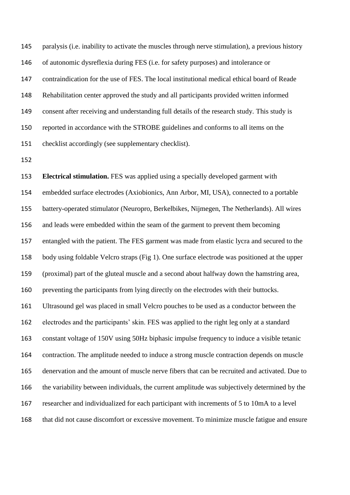paralysis (i.e. inability to activate the muscles through nerve stimulation), a previous history of autonomic dysreflexia during FES (i.e. for safety purposes) and intolerance or contraindication for the use of FES. The local institutional medical ethical board of Reade Rehabilitation center approved the study and all participants provided written informed consent after receiving and understanding full details of the research study. This study is reported in accordance with the STROBE guidelines and conforms to all items on the checklist accordingly (see supplementary checklist).

 **Electrical stimulation.** FES was applied using a specially developed garment with embedded surface electrodes (Axiobionics, Ann Arbor, MI, USA), connected to a portable battery-operated stimulator (Neuropro, Berkelbikes, Nijmegen, The Netherlands). All wires and leads were embedded within the seam of the garment to prevent them becoming entangled with the patient. The FES garment was made from elastic lycra and secured to the body using foldable Velcro straps (Fig 1). One surface electrode was positioned at the upper (proximal) part of the gluteal muscle and a second about halfway down the hamstring area, preventing the participants from lying directly on the electrodes with their buttocks. Ultrasound gel was placed in small Velcro pouches to be used as a conductor between the electrodes and the participants' skin. FES was applied to the right leg only at a standard constant voltage of 150V using 50Hz biphasic impulse frequency to induce a visible tetanic contraction. The amplitude needed to induce a strong muscle contraction depends on muscle denervation and the amount of muscle nerve fibers that can be recruited and activated. Due to the variability between individuals, the current amplitude was subjectively determined by the researcher and individualized for each participant with increments of 5 to 10mA to a level that did not cause discomfort or excessive movement. To minimize muscle fatigue and ensure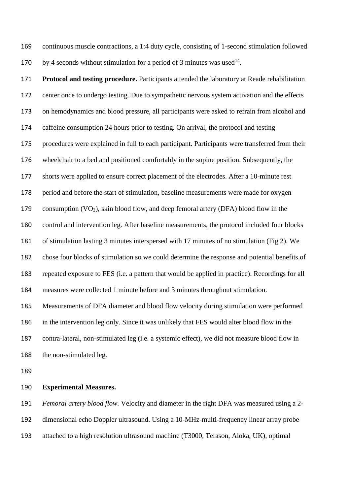continuous muscle contractions, a 1:4 duty cycle, consisting of 1-second stimulation followed 170 by 4 seconds without stimulation for a period of 3 minutes was used .

 **Protocol and testing procedure.** Participants attended the laboratory at Reade rehabilitation center once to undergo testing. Due to sympathetic nervous system activation and the effects on hemodynamics and blood pressure, all participants were asked to refrain from alcohol and caffeine consumption 24 hours prior to testing. On arrival, the protocol and testing procedures were explained in full to each participant. Participants were transferred from their wheelchair to a bed and positioned comfortably in the supine position. Subsequently, the shorts were applied to ensure correct placement of the electrodes. After a 10-minute rest period and before the start of stimulation, baseline measurements were made for oxygen 179 consumption  $(VO_2)$ , skin blood flow, and deep femoral artery (DFA) blood flow in the control and intervention leg. After baseline measurements, the protocol included four blocks of stimulation lasting 3 minutes interspersed with 17 minutes of no stimulation (Fig 2). We chose four blocks of stimulation so we could determine the response and potential benefits of repeated exposure to FES (i.e. a pattern that would be applied in practice). Recordings for all measures were collected 1 minute before and 3 minutes throughout stimulation. Measurements of DFA diameter and blood flow velocity during stimulation were performed in the intervention leg only. Since it was unlikely that FES would alter blood flow in the contra-lateral, non-stimulated leg (i.e. a systemic effect), we did not measure blood flow in the non-stimulated leg.

## **Experimental Measures.**

 *Femoral artery blood flow.* Velocity and diameter in the right DFA was measured using a 2- dimensional echo Doppler ultrasound. Using a 10-MHz-multi-frequency linear array probe attached to a high resolution ultrasound machine (T3000, Terason, Aloka, UK), optimal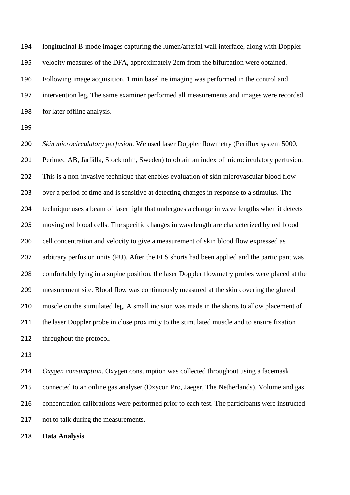longitudinal B-mode images capturing the lumen/arterial wall interface, along with Doppler velocity measures of the DFA, approximately 2cm from the bifurcation were obtained. Following image acquisition, 1 min baseline imaging was performed in the control and intervention leg. The same examiner performed all measurements and images were recorded for later offline analysis.

 *Skin microcirculatory perfusion.* We used laser Doppler flowmetry (Periflux system 5000, Perimed AB, Järfälla, Stockholm, Sweden) to obtain an index of microcirculatory perfusion. This is a non-invasive technique that enables evaluation of skin microvascular blood flow over a period of time and is sensitive at detecting changes in response to a stimulus. The technique uses a beam of laser light that undergoes a change in wave lengths when it detects moving red blood cells. The specific changes in wavelength are characterized by red blood 206 cell concentration and velocity to give a measurement of skin blood flow expressed as arbitrary perfusion units (PU). After the FES shorts had been applied and the participant was comfortably lying in a supine position, the laser Doppler flowmetry probes were placed at the measurement site. Blood flow was continuously measured at the skin covering the gluteal muscle on the stimulated leg. A small incision was made in the shorts to allow placement of 211 the laser Doppler probe in close proximity to the stimulated muscle and to ensure fixation 212 throughout the protocol.

 *Oxygen consumption.* Oxygen consumption was collected throughout using a facemask connected to an online gas analyser (Oxycon Pro, Jaeger, The Netherlands). Volume and gas concentration calibrations were performed prior to each test. The participants were instructed not to talk during the measurements.

**Data Analysis**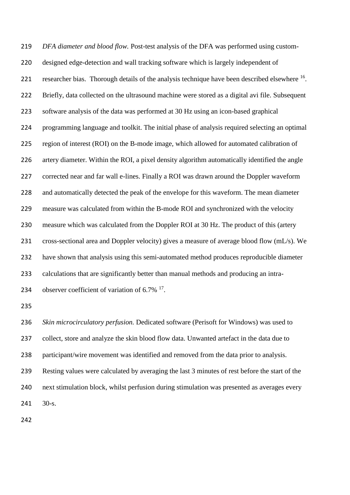*DFA diameter and blood flow.* Post-test analysis of the DFA was performed using custom- designed edge-detection and wall tracking software which is largely independent of 221 researcher bias. Thorough details of the analysis technique have been described elsewhere  $^{16}$ . Briefly, data collected on the ultrasound machine were stored as a digital avi file. Subsequent software analysis of the data was performed at 30 Hz using an icon-based graphical programming language and toolkit. The initial phase of analysis required selecting an optimal region of interest (ROI) on the B-mode image, which allowed for automated calibration of artery diameter. Within the ROI, a pixel density algorithm automatically identified the angle corrected near and far wall e-lines. Finally a ROI was drawn around the Doppler waveform and automatically detected the peak of the envelope for this waveform. The mean diameter measure was calculated from within the B-mode ROI and synchronized with the velocity measure which was calculated from the Doppler ROI at 30 Hz. The product of this (artery cross-sectional area and Doppler velocity) gives a measure of average blood flow (mL/s). We have shown that analysis using this semi-automated method produces reproducible diameter calculations that are significantly better than manual methods and producing an intra-234 observer coefficient of variation of  $6.7\%$  <sup>17</sup>. 

 *Skin microcirculatory perfusion.* Dedicated software (Perisoft for Windows) was used to collect, store and analyze the skin blood flow data. Unwanted artefact in the data due to participant/wire movement was identified and removed from the data prior to analysis. Resting values were calculated by averaging the last 3 minutes of rest before the start of the next stimulation block, whilst perfusion during stimulation was presented as averages every 30-s.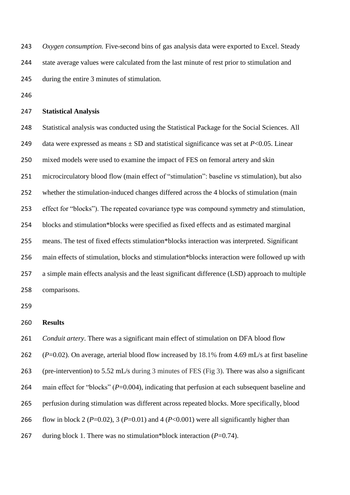*Oxygen consumption.* Five-second bins of gas analysis data were exported to Excel. Steady state average values were calculated from the last minute of rest prior to stimulation and during the entire 3 minutes of stimulation.

### **Statistical Analysis**

 Statistical analysis was conducted using the Statistical Package for the Social Sciences. All 249 data were expressed as means  $\pm$  SD and statistical significance was set at *P*<0.05. Linear mixed models were used to examine the impact of FES on femoral artery and skin microcirculatory blood flow (main effect of "stimulation": baseline *vs* stimulation), but also whether the stimulation-induced changes differed across the 4 blocks of stimulation (main effect for "blocks"). The repeated covariance type was compound symmetry and stimulation, blocks and stimulation\*blocks were specified as fixed effects and as estimated marginal means. The test of fixed effects stimulation\*blocks interaction was interpreted. Significant main effects of stimulation, blocks and stimulation\*blocks interaction were followed up with a simple main effects analysis and the least significant difference (LSD) approach to multiple comparisons.

# **Results**

*Conduit artery*. There was a significant main effect of stimulation on DFA blood flow

(*P*=0.02). On average, arterial blood flow increased by 18.1% from 4.69 mL/s at first baseline

(pre-intervention) to 5.52 mL/s during 3 minutes of FES (Fig 3). There was also a significant

264 main effect for "blocks" (*P*=0.004), indicating that perfusion at each subsequent baseline and

- perfusion during stimulation was different across repeated blocks. More specifically, blood
- 266 flow in block 2 ( $P=0.02$ ), 3 ( $P=0.01$ ) and 4 ( $P<0.001$ ) were all significantly higher than
- 267 during block 1. There was no stimulation\*block interaction (*P*=0.74).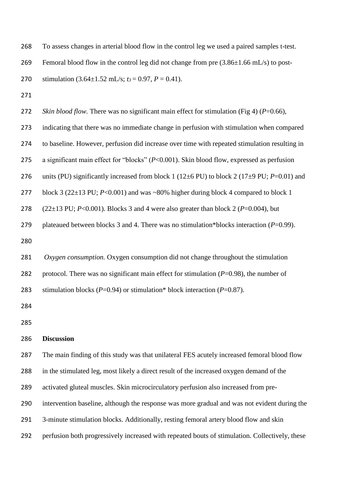To assess changes in arterial blood flow in the control leg we used a paired samples t-test.

269 Femoral blood flow in the control leg did not change from pre  $(3.86\pm1.66 \text{ mL/s})$  to post-

270 stimulation  $(3.64 \pm 1.52 \text{ mL/s}; t_3 = 0.97, P = 0.41)$ .

*Skin blood flow.* There was no significant main effect for stimulation (Fig 4) (*P*=0.66),

indicating that there was no immediate change in perfusion with stimulation when compared

to baseline. However, perfusion did increase over time with repeated stimulation resulting in

a significant main effect for "blocks" (*P*<0.001). Skin blood flow, expressed as perfusion

units (PU) significantly increased from block 1 (12±6 PU) to block 2 (17±9 PU; *P*=0.01) and

277 block 3 (22±13 PU; *P*<0.001) and was ~80% higher during block 4 compared to block 1

```
278 (22\pm13 PU; P<0.001). Blocks 3 and 4 were also greater than block 2 (P=0.004), but
```
plateaued between blocks 3 and 4. There was no stimulation\*blocks interaction (*P*=0.99).

```
281 Oxygen consumption. Oxygen consumption did not change throughout the stimulation 
282 protocol. There was no significant main effect for stimulation (P=0.98), the number of 
283 stimulation blocks (P=0.94) or stimulation* block interaction (P=0.87).
```
## **Discussion**

The main finding of this study was that unilateral FES acutely increased femoral blood flow

in the stimulated leg, most likely a direct result of the increased oxygen demand of the

activated gluteal muscles. Skin microcirculatory perfusion also increased from pre-

intervention baseline, although the response was more gradual and was not evident during the

3-minute stimulation blocks. Additionally, resting femoral artery blood flow and skin

perfusion both progressively increased with repeated bouts of stimulation. Collectively, these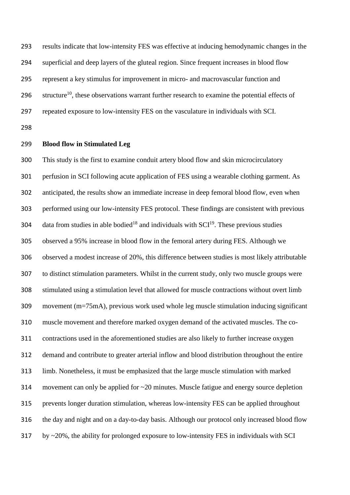results indicate that low-intensity FES was effective at inducing hemodynamic changes in the superficial and deep layers of the gluteal region. Since frequent increases in blood flow represent a key stimulus for improvement in micro- and macrovascular function and 296 structure<sup>10</sup>, these observations warrant further research to examine the potential effects of repeated exposure to low-intensity FES on the vasculature in individuals with SCI.

# **Blood flow in Stimulated Leg**

 This study is the first to examine conduit artery blood flow and skin microcirculatory perfusion in SCI following acute application of FES using a wearable clothing garment. As anticipated, the results show an immediate increase in deep femoral blood flow, even when performed using our low-intensity FES protocol. These findings are consistent with previous 304 data from studies in able bodied<sup>18</sup> and individuals with  $\text{SCI}^{19}$ . These previous studies observed a 95% increase in blood flow in the femoral artery during FES. Although we observed a modest increase of 20%, this difference between studies is most likely attributable to distinct stimulation parameters. Whilst in the current study, only two muscle groups were stimulated using a stimulation level that allowed for muscle contractions without overt limb movement (m=75mA), previous work used whole leg muscle stimulation inducing significant muscle movement and therefore marked oxygen demand of the activated muscles. The co- contractions used in the aforementioned studies are also likely to further increase oxygen demand and contribute to greater arterial inflow and blood distribution throughout the entire limb. Nonetheless, it must be emphasized that the large muscle stimulation with marked movement can only be applied for ~20 minutes. Muscle fatigue and energy source depletion prevents longer duration stimulation, whereas low-intensity FES can be applied throughout the day and night and on a day-to-day basis. Although our protocol only increased blood flow by ~20%, the ability for prolonged exposure to low-intensity FES in individuals with SCI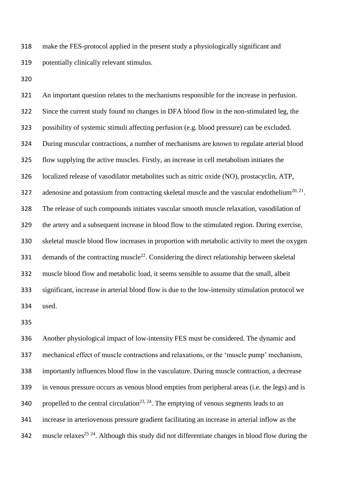make the FES-protocol applied in the present study a physiologically significant and potentially clinically relevant stimulus.

 An important question relates to the mechanisms responsible for the increase in perfusion. Since the current study found no changes in DFA blood flow in the non-stimulated leg, the possibility of systemic stimuli affecting perfusion (e.g. blood pressure) can be excluded. During muscular contractions, a number of mechanisms are known to regulate arterial blood flow supplying the active muscles. Firstly, an increase in cell metabolism initiates the localized release of vasodilator metabolites such as nitric oxide (NO), prostacyclin, ATP, 327 adenosine and potassium from contracting skeletal muscle and the vascular endothelium<sup>20, 21</sup>. The release of such compounds initiates vascular smooth muscle relaxation, vasodilation of the artery and a subsequent increase in blood flow to the stimulated region. During exercise, skeletal muscle blood flow increases in proportion with metabolic activity to meet the oxygen 331 demands of the contracting muscle<sup>22</sup>. Considering the direct relationship between skeletal muscle blood flow and metabolic load, it seems sensible to assume that the small, albeit significant, increase in arterial blood flow is due to the low-intensity stimulation protocol we used.

 Another physiological impact of low-intensity FES must be considered. The dynamic and mechanical effect of muscle contractions and relaxations, or the 'muscle pump' mechanism, importantly influences blood flow in the vasculature. During muscle contraction, a decrease in venous pressure occurs as venous blood empties from peripheral areas (i.e. the legs) and is 340 propelled to the central circulation<sup>23, 24</sup>. The emptying of venous segments leads to an increase in arteriovenous pressure gradient facilitating an increase in arterial inflow as the 342 muscle relaxes<sup>25 24</sup>. Although this study did not differentiate changes in blood flow during the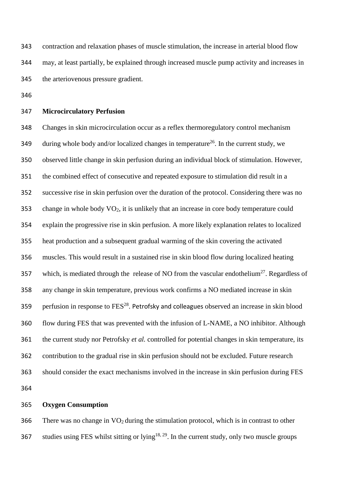contraction and relaxation phases of muscle stimulation, the increase in arterial blood flow may, at least partially, be explained through increased muscle pump activity and increases in the arteriovenous pressure gradient.

## **Microcirculatory Perfusion**

 Changes in skin microcirculation occur as a reflex thermoregulatory control mechanism 349 during whole body and/or localized changes in temperature<sup>26</sup>. In the current study, we observed little change in skin perfusion during an individual block of stimulation. However, the combined effect of consecutive and repeated exposure to stimulation did result in a successive rise in skin perfusion over the duration of the protocol. Considering there was no change in whole body VO2, it is unlikely that an increase in core body temperature could explain the progressive rise in skin perfusion. A more likely explanation relates to localized heat production and a subsequent gradual warming of the skin covering the activated muscles. This would result in a sustained rise in skin blood flow during localized heating 357 which, is mediated through the release of NO from the vascular endothelium<sup>27</sup>. Regardless of any change in skin temperature, previous work confirms a NO mediated increase in skin 359 perfusion in response to  $FES^{28}$ . Petrofsky and colleagues observed an increase in skin blood flow during FES that was prevented with the infusion of L-NAME, a NO inhibitor. Although the current study nor Petrofsky *et al.* controlled for potential changes in skin temperature, its contribution to the gradual rise in skin perfusion should not be excluded. Future research should consider the exact mechanisms involved in the increase in skin perfusion during FES 

# **Oxygen Consumption**

366 There was no change in  $\rm VO_2$  during the stimulation protocol, which is in contrast to other 367 studies using FES whilst sitting or lying<sup>18, 29</sup>. In the current study, only two muscle groups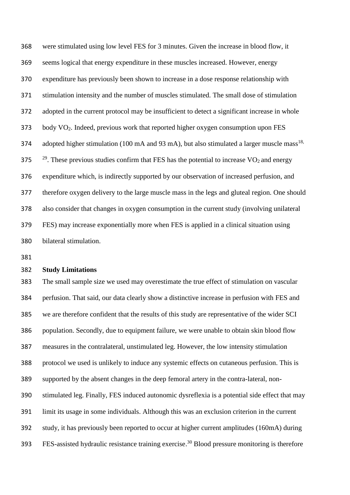were stimulated using low level FES for 3 minutes. Given the increase in blood flow, it seems logical that energy expenditure in these muscles increased. However, energy expenditure has previously been shown to increase in a dose response relationship with stimulation intensity and the number of muscles stimulated. The small dose of stimulation adopted in the current protocol may be insufficient to detect a significant increase in whole body VO2. Indeed, previous work that reported higher oxygen consumption upon FES 374 adopted higher stimulation (100 mA and 93 mA), but also stimulated a larger muscle mass<sup>18,</sup>  $2^{29}$ . These previous studies confirm that FES has the potential to increase VO<sub>2</sub> and energy expenditure which, is indirectly supported by our observation of increased perfusion, and therefore oxygen delivery to the large muscle mass in the legs and gluteal region. One should also consider that changes in oxygen consumption in the current study (involving unilateral FES) may increase exponentially more when FES is applied in a clinical situation using bilateral stimulation.

# **Study Limitations**

 The small sample size we used may overestimate the true effect of stimulation on vascular perfusion. That said, our data clearly show a distinctive increase in perfusion with FES and we are therefore confident that the results of this study are representative of the wider SCI population. Secondly, due to equipment failure, we were unable to obtain skin blood flow measures in the contralateral, unstimulated leg. However, the low intensity stimulation protocol we used is unlikely to induce any systemic effects on cutaneous perfusion. This is supported by the absent changes in the deep femoral artery in the contra-lateral, non- stimulated leg. Finally, FES induced autonomic dysreflexia is a potential side effect that may limit its usage in some individuals. Although this was an exclusion criterion in the current study, it has previously been reported to occur at higher current amplitudes (160mA) during FES-assisted hydraulic resistance training exercise.<sup>30</sup> Blood pressure monitoring is therefore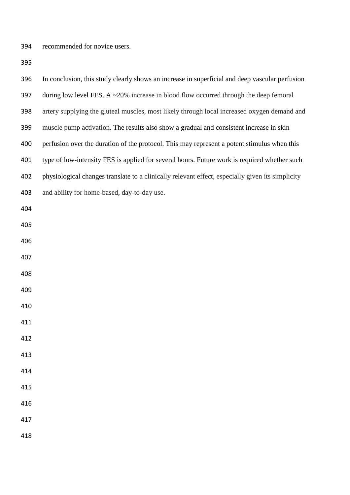recommended for novice users.

| 396 | In conclusion, this study clearly shows an increase in superficial and deep vascular perfusion   |
|-----|--------------------------------------------------------------------------------------------------|
| 397 | during low level FES. A $\sim$ 20% increase in blood flow occurred through the deep femoral      |
| 398 | artery supplying the gluteal muscles, most likely through local increased oxygen demand and      |
| 399 | muscle pump activation. The results also show a gradual and consistent increase in skin          |
| 400 | perfusion over the duration of the protocol. This may represent a potent stimulus when this      |
| 401 | type of low-intensity FES is applied for several hours. Future work is required whether such     |
| 402 | physiological changes translate to a clinically relevant effect, especially given its simplicity |
| 403 | and ability for home-based, day-to-day use.                                                      |
| 404 |                                                                                                  |
| 405 |                                                                                                  |
| 406 |                                                                                                  |
| 407 |                                                                                                  |
| 408 |                                                                                                  |
| 409 |                                                                                                  |
| 410 |                                                                                                  |
| 411 |                                                                                                  |
| 412 |                                                                                                  |
| 413 |                                                                                                  |
| 414 |                                                                                                  |
| 415 |                                                                                                  |
| 416 |                                                                                                  |
| 417 |                                                                                                  |
| 418 |                                                                                                  |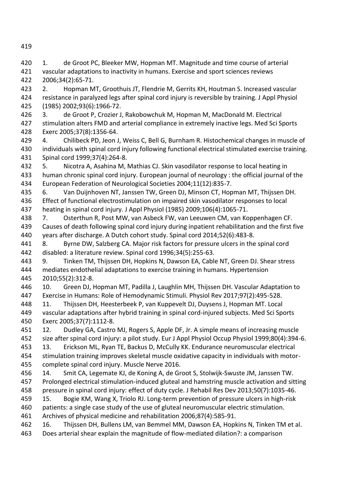420 1. de Groot PC, Bleeker MW, Hopman MT. Magnitude and time course of arterial vascular adaptations to inactivity in humans. Exercise and sport sciences reviews 2006;34(2):65-71. 2. Hopman MT, Groothuis JT, Flendrie M, Gerrits KH, Houtman S. Increased vascular resistance in paralyzed legs after spinal cord injury is reversible by training. J Appl Physiol (1985) 2002;93(6):1966-72. 3. de Groot P, Crozier J, Rakobowchuk M, Hopman M, MacDonald M. Electrical stimulation alters FMD and arterial compliance in extremely inactive legs. Med Sci Sports Exerc 2005;37(8):1356-64. 4. Chilibeck PD, Jeon J, Weiss C, Bell G, Burnham R. Histochemical changes in muscle of individuals with spinal cord injury following functional electrical stimulated exercise training. Spinal cord 1999;37(4):264-8. 5. Nicotra A, Asahina M, Mathias CJ. Skin vasodilator response to local heating in human chronic spinal cord injury. European journal of neurology : the official journal of the European Federation of Neurological Societies 2004;11(12):835-7. 6. Van Duijnhoven NT, Janssen TW, Green DJ, Minson CT, Hopman MT, Thijssen DH. Effect of functional electrostimulation on impaired skin vasodilator responses to local heating in spinal cord injury. J Appl Physiol (1985) 2009;106(4):1065-71. 7. Osterthun R, Post MW, van Asbeck FW, van Leeuwen CM, van Koppenhagen CF. Causes of death following spinal cord injury during inpatient rehabilitation and the first five years after discharge. A Dutch cohort study. Spinal cord 2014;52(6):483-8. 8. Byrne DW, Salzberg CA. Major risk factors for pressure ulcers in the spinal cord disabled: a literature review. Spinal cord 1996;34(5):255-63. 9. Tinken TM, Thijssen DH, Hopkins N, Dawson EA, Cable NT, Green DJ. Shear stress mediates endothelial adaptations to exercise training in humans. Hypertension 2010;55(2):312-8. 10. Green DJ, Hopman MT, Padilla J, Laughlin MH, Thijssen DH. Vascular Adaptation to Exercise in Humans: Role of Hemodynamic Stimuli. Physiol Rev 2017;97(2):495-528. 11. Thijssen DH, Heesterbeek P, van Kuppevelt DJ, Duysens J, Hopman MT. Local vascular adaptations after hybrid training in spinal cord-injured subjects. Med Sci Sports Exerc 2005;37(7):1112-8. 12. Dudley GA, Castro MJ, Rogers S, Apple DF, Jr. A simple means of increasing muscle size after spinal cord injury: a pilot study. Eur J Appl Physiol Occup Physiol 1999;80(4):394-6. 13. Erickson ML, Ryan TE, Backus D, McCully KK. Endurance neuromuscular electrical stimulation training improves skeletal muscle oxidative capacity in individuals with motor- complete spinal cord injury. Muscle Nerve 2016. 14. Smit CA, Legemate KJ, de Koning A, de Groot S, Stolwijk-Swuste JM, Janssen TW. Prolonged electrical stimulation-induced gluteal and hamstring muscle activation and sitting pressure in spinal cord injury: effect of duty cycle. J Rehabil Res Dev 2013;50(7):1035-46. 15. Bogie KM, Wang X, Triolo RJ. Long-term prevention of pressure ulcers in high-risk patients: a single case study of the use of gluteal neuromuscular electric stimulation. Archives of physical medicine and rehabilitation 2006;87(4):585-91. 16. Thijssen DH, Bullens LM, van Bemmel MM, Dawson EA, Hopkins N, Tinken TM et al.

Does arterial shear explain the magnitude of flow-mediated dilation?: a comparison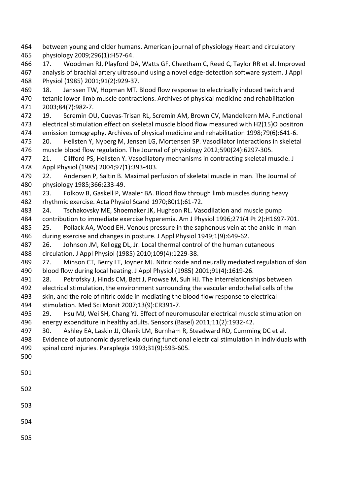between young and older humans. American journal of physiology Heart and circulatory physiology 2009;296(1):H57-64. 17. Woodman RJ, Playford DA, Watts GF, Cheetham C, Reed C, Taylor RR et al. Improved analysis of brachial artery ultrasound using a novel edge-detection software system. J Appl Physiol (1985) 2001;91(2):929-37. 18. Janssen TW, Hopman MT. Blood flow response to electrically induced twitch and tetanic lower-limb muscle contractions. Archives of physical medicine and rehabilitation 2003;84(7):982-7. 19. Scremin OU, Cuevas-Trisan RL, Scremin AM, Brown CV, Mandelkern MA. Functional electrical stimulation effect on skeletal muscle blood flow measured with H2(15)O positron emission tomography. Archives of physical medicine and rehabilitation 1998;79(6):641-6. 20. Hellsten Y, Nyberg M, Jensen LG, Mortensen SP. Vasodilator interactions in skeletal muscle blood flow regulation. The Journal of physiology 2012;590(24):6297-305. 21. Clifford PS, Hellsten Y. Vasodilatory mechanisms in contracting skeletal muscle. J Appl Physiol (1985) 2004;97(1):393-403. 22. Andersen P, Saltin B. Maximal perfusion of skeletal muscle in man. The Journal of physiology 1985;366:233-49. 23. Folkow B, Gaskell P, Waaler BA. Blood flow through limb muscles during heavy rhythmic exercise. Acta Physiol Scand 1970;80(1):61-72. 24. Tschakovsky ME, Shoemaker JK, Hughson RL. Vasodilation and muscle pump contribution to immediate exercise hyperemia. Am J Physiol 1996;271(4 Pt 2):H1697-701. 25. Pollack AA, Wood EH. Venous pressure in the saphenous vein at the ankle in man during exercise and changes in posture. J Appl Physiol 1949;1(9):649-62. 26. Johnson JM, Kellogg DL, Jr. Local thermal control of the human cutaneous circulation. J Appl Physiol (1985) 2010;109(4):1229-38. 27. Minson CT, Berry LT, Joyner MJ. Nitric oxide and neurally mediated regulation of skin blood flow during local heating. J Appl Physiol (1985) 2001;91(4):1619-26. 28. Petrofsky J, Hinds CM, Batt J, Prowse M, Suh HJ. The interrelationships between electrical stimulation, the environment surrounding the vascular endothelial cells of the skin, and the role of nitric oxide in mediating the blood flow response to electrical stimulation. Med Sci Monit 2007;13(9):CR391-7. 29. Hsu MJ, Wei SH, Chang YJ. Effect of neuromuscular electrical muscle stimulation on energy expenditure in healthy adults. Sensors (Basel) 2011;11(2):1932-42. 30. Ashley EA, Laskin JJ, Olenik LM, Burnham R, Steadward RD, Cumming DC et al. Evidence of autonomic dysreflexia during functional electrical stimulation in individuals with spinal cord injuries. Paraplegia 1993;31(9):593-605.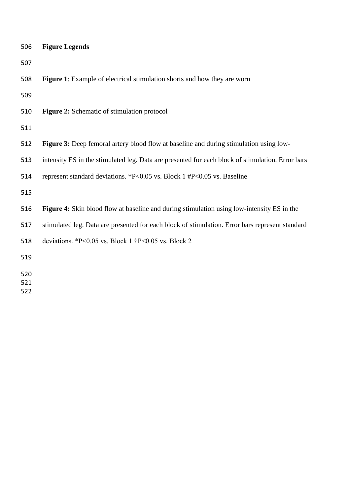| 506 | <b>Figure Legends</b>                                                                             |
|-----|---------------------------------------------------------------------------------------------------|
| 507 |                                                                                                   |
| 508 | <b>Figure 1:</b> Example of electrical stimulation shorts and how they are worn                   |
| 509 |                                                                                                   |
| 510 | <b>Figure 2:</b> Schematic of stimulation protocol                                                |
| 511 |                                                                                                   |
| 512 | <b>Figure 3:</b> Deep femoral artery blood flow at baseline and during stimulation using low-     |
| 513 | intensity ES in the stimulated leg. Data are presented for each block of stimulation. Error bars  |
| 514 | represent standard deviations. *P<0.05 vs. Block 1 #P<0.05 vs. Baseline                           |
| 515 |                                                                                                   |
| 516 | <b>Figure 4:</b> Skin blood flow at baseline and during stimulation using low-intensity ES in the |
| 517 | stimulated leg. Data are presented for each block of stimulation. Error bars represent standard   |
| 518 | deviations. *P<0.05 vs. Block 1 $\uparrow$ P<0.05 vs. Block 2                                     |
| 519 |                                                                                                   |
| 520 |                                                                                                   |
| 521 |                                                                                                   |
| 522 |                                                                                                   |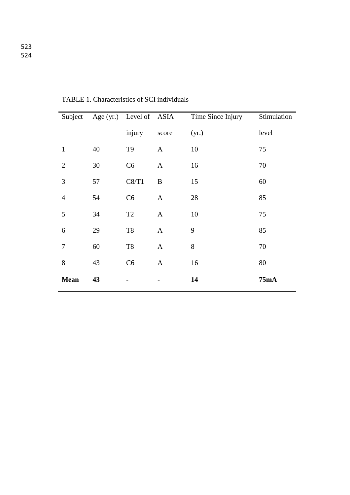| Subject        |    | Age (yr.) Level of ASIA |              | Time Since Injury | Stimulation |
|----------------|----|-------------------------|--------------|-------------------|-------------|
|                |    | injury                  | score        | (yr.)             | level       |
| $\mathbf{1}$   | 40 | T <sub>9</sub>          | $\mathbf{A}$ | 10                | 75          |
| $\overline{2}$ | 30 | C6                      | A            | 16                | 70          |
| 3              | 57 | C8/T1                   | $\bf{B}$     | 15                | 60          |
| $\overline{4}$ | 54 | C6                      | $\mathbf{A}$ | 28                | 85          |
| 5              | 34 | T <sub>2</sub>          | $\mathbf{A}$ | 10                | 75          |
| 6              | 29 | $\rm{T}8$               | $\mathbf{A}$ | 9                 | 85          |
| $\tau$         | 60 | $\rm{T}8$               | $\mathbf{A}$ | $8\,$             | 70          |
| 8              | 43 | C6                      | A            | 16                | 80          |
| <b>Mean</b>    | 43 |                         |              | 14                | 75mA        |

TABLE 1. Characteristics of SCI individuals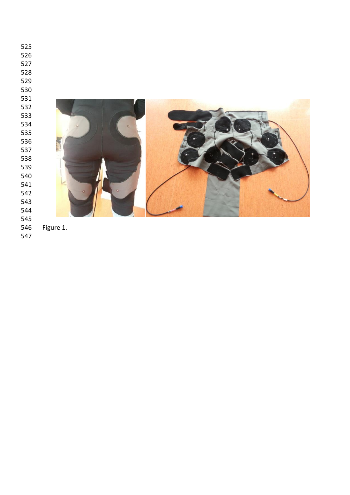| 525 |           |
|-----|-----------|
| 526 |           |
| 527 |           |
| 528 |           |
| 529 |           |
| 530 |           |
| 531 |           |
| 532 |           |
| 533 |           |
| 534 | $\alpha$  |
| 535 |           |
| 536 |           |
| 537 |           |
| 538 |           |
| 539 |           |
| 540 |           |
| 541 |           |
| 542 |           |
| 543 |           |
| 544 |           |
| 545 |           |
| 546 | Figure 1. |

Figure 1.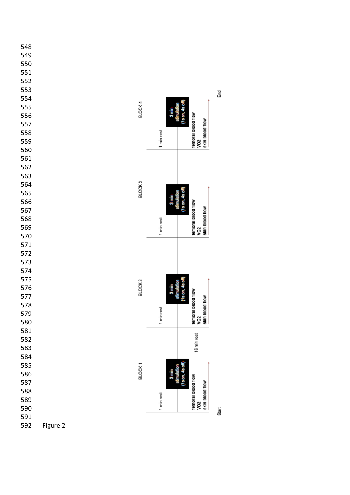



 $\overline{\vec{a}}$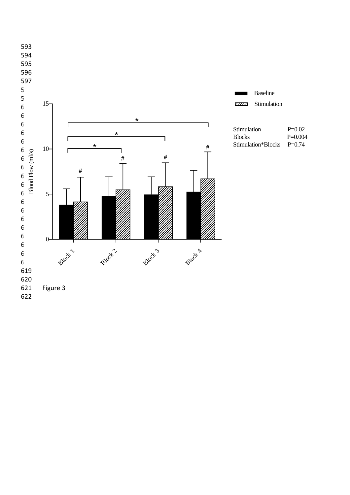

 $P=0.004$ <br> $P=0.74$